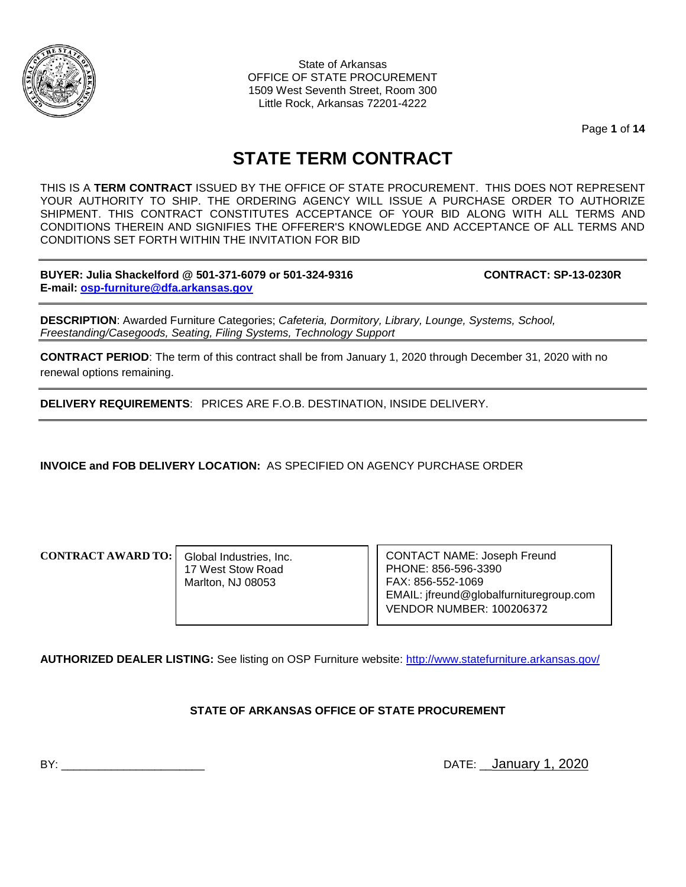

State of Arkansas OFFICE OF STATE PROCUREMENT 1509 West Seventh Street, Room 300 Little Rock, Arkansas 72201-4222

Page **1** of **14**

# **STATE TERM CONTRACT**

THIS IS A **TERM CONTRACT** ISSUED BY THE OFFICE OF STATE PROCUREMENT. THIS DOES NOT REPRESENT YOUR AUTHORITY TO SHIP. THE ORDERING AGENCY WILL ISSUE A PURCHASE ORDER TO AUTHORIZE SHIPMENT. THIS CONTRACT CONSTITUTES ACCEPTANCE OF YOUR BID ALONG WITH ALL TERMS AND CONDITIONS THEREIN AND SIGNIFIES THE OFFERER'S KNOWLEDGE AND ACCEPTANCE OF ALL TERMS AND CONDITIONS SET FORTH WITHIN THE INVITATION FOR BID

**BUYER: Julia Shackelford @ 501-371-6079 or 501-324-9316 CONTRACT: SP-13-0230R E-mail: [osp-furniture@dfa.arkansas.gov](mailto:osp-furniture@dfa.arkansas.gov)**

**DESCRIPTION**: Awarded Furniture Categories; *Cafeteria, Dormitory, Library, Lounge, Systems, School, Freestanding/Casegoods, Seating, Filing Systems, Technology Support*

**CONTRACT PERIOD**: The term of this contract shall be from January 1, 2020 through December 31, 2020 with no renewal options remaining.

**DELIVERY REQUIREMENTS**: PRICES ARE F.O.B. DESTINATION, INSIDE DELIVERY.

**INVOICE and FOB DELIVERY LOCATION:** AS SPECIFIED ON AGENCY PURCHASE ORDER

**CONTRACT AWARD TO:**

Global Industries, Inc. 17 West Stow Road Marlton, NJ 08053

CONTACT NAME: Joseph Freund PHONE: 856-596-3390 FAX: 856-552-1069 EMAIL: jfreund@globalfurnituregroup.com VENDOR NUMBER: 100206372

**AUTHORIZED DEALER LISTING:** See listing on OSP Furniture website:<http://www.statefurniture.arkansas.gov/>

#### **STATE OF ARKANSAS OFFICE OF STATE PROCUREMENT**

BY: \_\_\_\_\_\_\_\_\_\_\_\_\_\_\_\_\_\_\_\_\_\_\_ DATE: \_\_January 1, 2020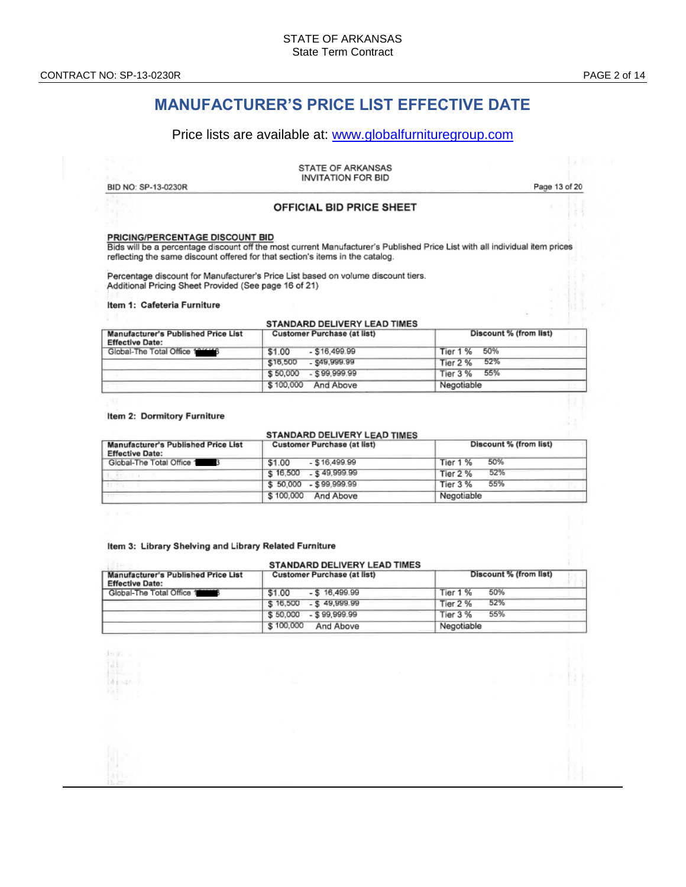# **MANUFACTURER'S PRICE LIST EFFECTIVE DATE**

#### Price lists are available at: [www.globalfurnituregroup.com](http://www.globalfurnituregroup.com/)

| BID NO: SP-13-0230R             | STATE OF ARKANSAS<br><b>INVITATION FOR BID</b> | Page 13 of 20 |
|---------------------------------|------------------------------------------------|---------------|
|                                 | <b>OFFICIAL BID PRICE SHEET</b>                |               |
| PRICING/PERCENTAGE DISCOUNT BID |                                                |               |

Bids will be a percentage discount off the most current Manufacturer's Published Price List with all individual item prices reflecting the same discount offered for that section's items in the catalog.

Percentage discount for Manufacturer's Price List based on volume discount tiers.<br>Additional Pricing Sheet Provided (See page 16 of 21)

#### Item 1: Cafeteria Furniture

#### STANDARD DELIVERY LEAD TIMES

| Manufacturer's Published Price List<br><b>Effective Date:</b> | <b>Customer Purchase (at list)</b> | Discount % (from list) |
|---------------------------------------------------------------|------------------------------------|------------------------|
| Global-The Total Office 1811116                               | $-$ \$16,499.99<br>\$1.00          | 50%<br>Tier 1 %        |
|                                                               | - \$49,999.99<br>\$16,500          | 52%<br>Tier 2 %        |
|                                                               | $-$ \$99.999.99<br>\$50,000        | 55%<br>Tier 3 %        |
|                                                               | \$100,000<br>And Above             | Negotiable             |

#### Item 2: Dormitory Furniture

#### STANDARD DELIVERY LEAD TIMES

| <b>Manufacturer's Published Price List</b><br><b>Effective Date:</b> | <b>Customer Purchase (at list)</b> | Discount % (from list) |
|----------------------------------------------------------------------|------------------------------------|------------------------|
| Global-The Total Office 1                                            | $-$ \$16.499.99<br>\$1.00          | 50%<br>Tier 1 %        |
|                                                                      | \$16,500<br>$-$ \$49.999.99        | 52%<br>Tier 2 %        |
|                                                                      | $-$ \$99.999.99<br>\$50,000        | 55%<br><b>Tier 3 %</b> |
|                                                                      | \$100,000<br>And Above             | Negotiable             |

#### Item 3: Library Shelving and Library Related Furniture

| <b>STANDARD DELIVERY LEAD TIMES</b>                                                                 |                              |                        |
|-----------------------------------------------------------------------------------------------------|------------------------------|------------------------|
| <b>Customer Purchase (at list)</b><br>Manufacturer's Published Price List<br><b>Effective Date:</b> |                              | Discount % (from list) |
| Global-The Total Office 1                                                                           | $-$ \$ 16,499.99<br>\$1.00   | 50%<br>Tier 1 %        |
|                                                                                                     | \$16,500<br>$-$ \$49,999.99  | 52%<br>Tier 2 %        |
|                                                                                                     | $-$ \$ 99.999.99<br>\$50,000 | 55%<br><b>Tier 3 %</b> |
|                                                                                                     | \$100,000<br>And Above       | Negotiable             |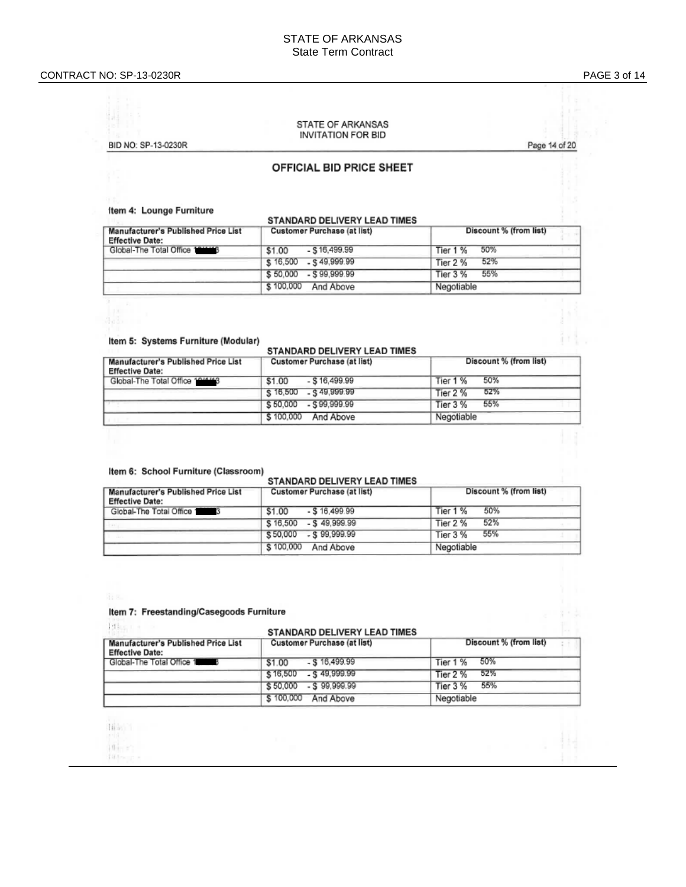i.l

#### STATE OF ARKANSAS **INVITATION FOR BID**

BID NO: SP-13-0230R

#### Page 14 of 20

#### OFFICIAL BID PRICE SHEET

#### Item 4: Lounge Furniture

| Manufacturer's Published Price List<br><b>Effective Date:</b> | <b>Customer Purchase (at list)</b> | Discount % (from list) |
|---------------------------------------------------------------|------------------------------------|------------------------|
| Global-The Total Office 188668                                | $-$ \$16,499.99<br>\$1.00          | 50%<br>Tier 1 %        |
|                                                               | $$16,500$ $$49,999.99$             | 52%<br>Tier 2 %        |
|                                                               | \$50,000 - \$99,999.99             | 55%<br>Tier 3 %        |
|                                                               | \$100,000<br>And Above             | Negotiable             |

**CTANDARD DELIVERY LEAD TIMES** 

#### Item 5: Systems Furniture (Modular)

#### STANDARD DELIVERY LEAD TIMES

| <b>Manufacturer's Published Price List</b><br><b>Effective Date:</b> | <b>Customer Purchase (at list)</b> | Discount % (from list) |
|----------------------------------------------------------------------|------------------------------------|------------------------|
| Global-The Total Office 1911113                                      | $-$ \$16.499.99<br>\$1.00          | 50%<br>Tier 1 %        |
|                                                                      | $$16,500$ $$49,999.99$             | 52%<br>Tier 2 %        |
|                                                                      | $-599.999.99$<br>\$50,000          | 55%<br><b>Tier 3 %</b> |
|                                                                      | \$100,000<br>And Above             | Negotiable             |

#### Item 6: School Furniture (Classroom)

#### STANDARD DELIVERY LEAD TIMES Manufacturer's Published Price List **Customer Purchase (at list)** Discount % (from list) **Effective Date:** Global-The Total Office 1999  $$1.00 - $16,499.99$ Tier 1 % 50% 52% \$16,500 - \$49,999.99 Tier 2 % \$50,000 - \$99,999.99 55% Tier 3 % \$100,000 And Above Negotiable

#### Item 7: Freestanding/Casegoods Furniture

Istics (1)

#### STANDARD DELIVERY LEAD TIMES

| Manufacturer's Published Price List<br><b>Effective Date:</b> | <b>Customer Purchase (at list)</b> | Discount % (from list) |
|---------------------------------------------------------------|------------------------------------|------------------------|
| Global-The Total Office 1                                     | $-$ \$16,499.99<br>\$1.00          | -50%<br>Tier 1 %       |
|                                                               | $$16,500$ $$49,999.99$             | 52%<br>Tier 2 %        |
|                                                               | $$50,000 - $99,999.99$             | 55%<br>Tier 3 %        |
|                                                               | \$100,000<br>And Above             | Negotiable             |

Tille 1

 $10 - 12$ 

 $101 -$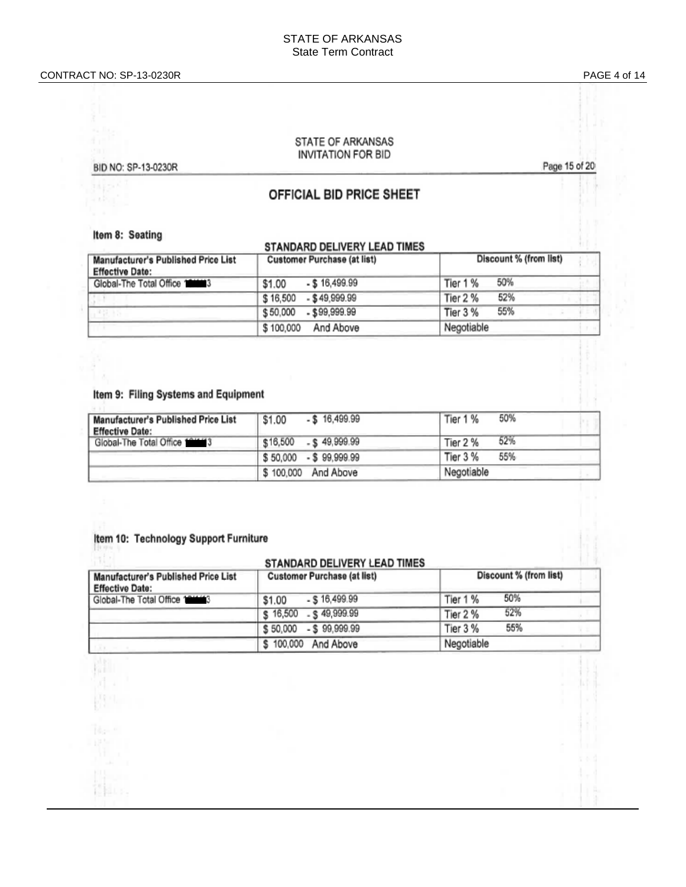PAGE 4 of 14

#### STATE OF ARKANSAS **INVITATION FOR BID**

BID NO: SP-13-0230R

Page 15 of 20

## OFFICIAL BID PRICE SHEET

Item 8: Seating

#### STANDARD DELIVERY LEAD TIMES

| Manufacturer's Published Price List                       | Customer Purchase (at list) | Discount % (from list) |
|-----------------------------------------------------------|-----------------------------|------------------------|
| <b>Effective Date:</b><br>Global-The Total Office 1000013 | $-$ \$16,499.99<br>\$1.00   | 50%<br>Tier 1 %        |
|                                                           | \$16,500<br>$-$ \$49.999.99 | 52%<br>Tier 2 %        |
|                                                           | $-$ \$99,999.99<br>\$50,000 | 55%<br>Tier 3 %        |
|                                                           | \$100,000<br>And Above      | Negotiable             |

#### Item 9: Filing Systems and Equipment

| <b>Manufacturer's Published Price List</b><br><b>Effective Date:</b> | $-$ \$16,499.99<br>\$1.00 | 50%<br>Tier 1 % |
|----------------------------------------------------------------------|---------------------------|-----------------|
| Global-The Total Office 101113                                       | $$16,500$ $$49,999.99$    | 52%<br>Tier 2 % |
|                                                                      | \$50,000 - \$99,999.99    | Tier 3 %<br>55% |
|                                                                      | \$100,000 And Above       | Negotiable      |

## Item 10: Technology Support Furniture

MT.

| STANDARD DELIVERY LEAD TIMES                                  |                                    |                        |
|---------------------------------------------------------------|------------------------------------|------------------------|
| Manufacturer's Published Price List<br><b>Effective Date:</b> | <b>Customer Purchase (at list)</b> | Discount % (from list) |
| Global-The Total Office 1 1946 3                              | $-$ \$ 16,499.99<br>\$1.00         | 50%<br>Tier 1 %        |
|                                                               | $-$ \$49,999.99<br>\$16,500        | 52%<br>Tier 2 %        |
|                                                               | \$50,000 - \$99,999.99             | 55%<br>Tier 3 %        |
|                                                               | \$100,000<br>And Above             | Negotiable             |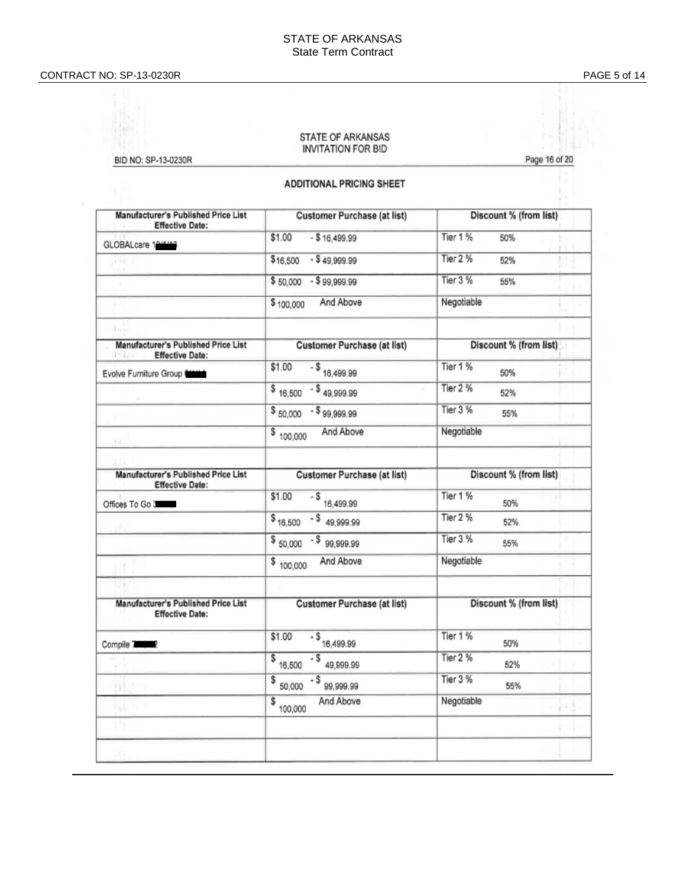#### CONTRACT NO: SP -13 -0230R PAGE

# STATE OF ARKANSAS **INVITATION FOR BID** Page 16 of 20 BID NO: SP-13-0230R

#### **ADDITIONAL PRICING SHEET**

| Manufacturer's Published Price List<br><b>Effective Date:</b> | <b>Customer Purchase (at list)</b>       | Discount % (from list) |
|---------------------------------------------------------------|------------------------------------------|------------------------|
| GLOBALcare 194443                                             | \$1.00<br>$- $16,499.99$                 | Tier 1 %<br>50%        |
| D.E                                                           | \$16,500<br>$-$ \$49,999.99              | Tier 2 %<br>52%        |
|                                                               | $$50,000 - $99,999.99$                   | Tier 3 %<br>55%        |
| I.                                                            | And Above<br>\$100,000                   | Negotiable             |
| in R<br>Manufacturer's Published Price List                   | <b>Customer Purchase (at list)</b>       | Discount % (from list) |
| <b>Effective Date:</b><br>15 Louis                            |                                          |                        |
| Evolve Furniture Group News                                   | \$1.00<br>$-$ \$ $16,499.99$             | Tier 1 %<br>50%        |
|                                                               | $$16,500$ - \$49,999.99                  | Tier 2 %<br>52%        |
|                                                               | $$50,000$ - $$99,999.99$                 | Tier 3 %<br>55%        |
| 图                                                             | And Above<br>\$100,000                   | Negotiable             |
|                                                               |                                          |                        |
| Manufacturer's Published Price List<br><b>Effective Date:</b> | <b>Customer Purchase (at list)</b>       | Discount % (from list) |
| Offices To Go 3                                               | \$1.00<br>$-$ \$ 16,499.99               | Tier 1 %<br>50%        |
|                                                               | $-5$ 49,999.99<br>\$16,500               | Tier 2 %<br>52%        |
|                                                               | $$50,000$ $$99,999.99$                   | Tier 3 %<br>55%        |
|                                                               | And Above<br>\$100,000                   | Negotiable             |
|                                                               |                                          |                        |
| Manufacturer's Published Price List<br><b>Effective Date:</b> | <b>Customer Purchase (at list)</b>       | Discount % (from list) |
| Compile 777072                                                | \$1.00<br>$-$ \$ <sub>16,499.99</sub>    | Tier 1 %<br>50%        |
|                                                               | $-$ \$ 49,999.99<br>$\frac{1}{6}$ 16,500 | Tier 2 %<br>52%        |
|                                                               | $\frac{1}{2}$ 50,000<br>$-599999999$     | Tier 3 %<br>55%        |
|                                                               | And Above<br>\$<br>100,000               | Negotiable             |
|                                                               |                                          |                        |
|                                                               |                                          |                        |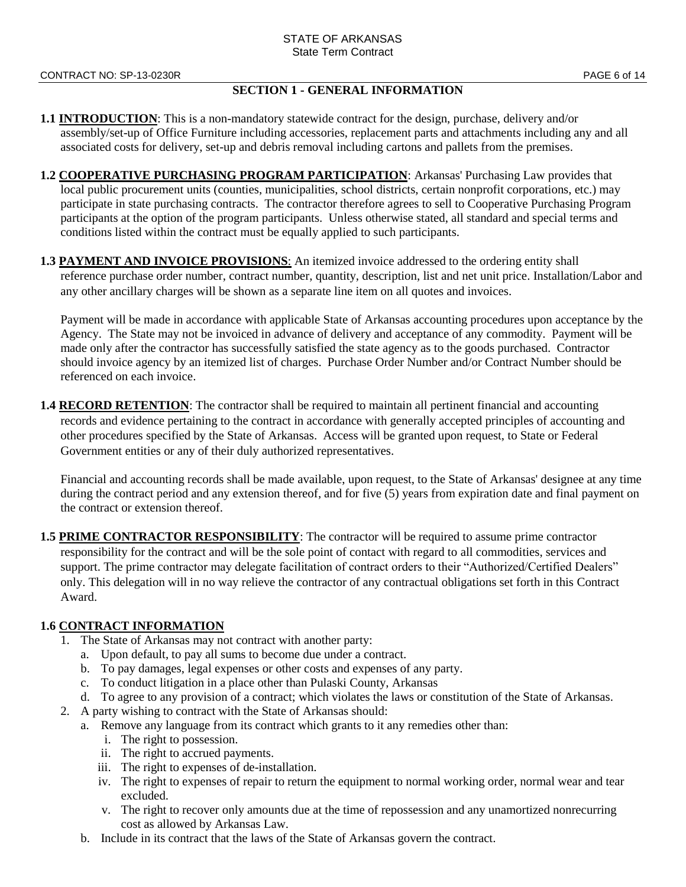#### **SECTION 1 - GENERAL INFORMATION**

- **1.1 INTRODUCTION**: This is a non-mandatory statewide contract for the design, purchase, delivery and/or assembly/set-up of Office Furniture including accessories, replacement parts and attachments including any and all associated costs for delivery, set-up and debris removal including cartons and pallets from the premises.
- **1.2 COOPERATIVE PURCHASING PROGRAM PARTICIPATION**: Arkansas' Purchasing Law provides that local public procurement units (counties, municipalities, school districts, certain nonprofit corporations, etc.) may participate in state purchasing contracts. The contractor therefore agrees to sell to Cooperative Purchasing Program participants at the option of the program participants. Unless otherwise stated, all standard and special terms and conditions listed within the contract must be equally applied to such participants.
- **1.3 PAYMENT AND INVOICE PROVISIONS:** An itemized invoice addressed to the ordering entity shall reference purchase order number, contract number, quantity, description, list and net unit price. Installation/Labor and any other ancillary charges will be shown as a separate line item on all quotes and invoices.

Payment will be made in accordance with applicable State of Arkansas accounting procedures upon acceptance by the Agency. The State may not be invoiced in advance of delivery and acceptance of any commodity. Payment will be made only after the contractor has successfully satisfied the state agency as to the goods purchased. Contractor should invoice agency by an itemized list of charges. Purchase Order Number and/or Contract Number should be referenced on each invoice.

**1.4 RECORD RETENTION:** The contractor shall be required to maintain all pertinent financial and accounting records and evidence pertaining to the contract in accordance with generally accepted principles of accounting and other procedures specified by the State of Arkansas. Access will be granted upon request, to State or Federal Government entities or any of their duly authorized representatives.

Financial and accounting records shall be made available, upon request, to the State of Arkansas' designee at any time during the contract period and any extension thereof, and for five (5) years from expiration date and final payment on the contract or extension thereof.

**1.5 PRIME CONTRACTOR RESPONSIBILITY**: The contractor will be required to assume prime contractor responsibility for the contract and will be the sole point of contact with regard to all commodities, services and support. The prime contractor may delegate facilitation of contract orders to their "Authorized/Certified Dealers" only. This delegation will in no way relieve the contractor of any contractual obligations set forth in this Contract Award.

#### **1.6 CONTRACT INFORMATION**

- 1. The State of Arkansas may not contract with another party:
	- a. Upon default, to pay all sums to become due under a contract.
	- b. To pay damages, legal expenses or other costs and expenses of any party.
	- c. To conduct litigation in a place other than Pulaski County, Arkansas
	- d. To agree to any provision of a contract; which violates the laws or constitution of the State of Arkansas.
- 2. A party wishing to contract with the State of Arkansas should:
	- a. Remove any language from its contract which grants to it any remedies other than:
		- i. The right to possession.
		- ii. The right to accrued payments.
		- iii. The right to expenses of de-installation.
		- iv. The right to expenses of repair to return the equipment to normal working order, normal wear and tear excluded.
		- v. The right to recover only amounts due at the time of repossession and any unamortized nonrecurring cost as allowed by Arkansas Law.
	- b. Include in its contract that the laws of the State of Arkansas govern the contract.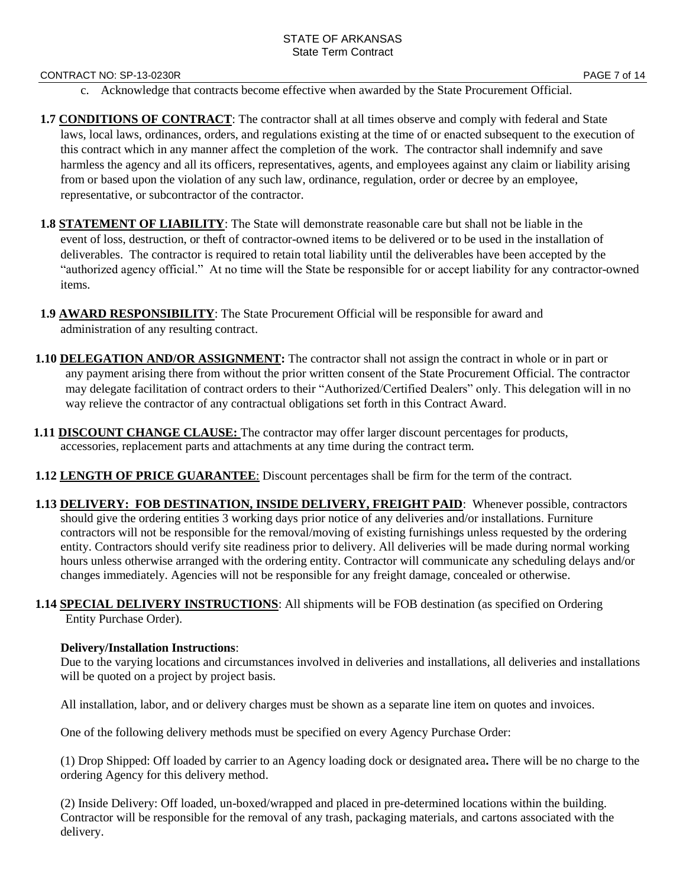#### CONTRACT NO: SP-13-0230R PAGE 7 of 14

- c. Acknowledge that contracts become effective when awarded by the State Procurement Official.
- **1.7 CONDITIONS OF CONTRACT**: The contractor shall at all times observe and comply with federal and State laws, local laws, ordinances, orders, and regulations existing at the time of or enacted subsequent to the execution of this contract which in any manner affect the completion of the work. The contractor shall indemnify and save harmless the agency and all its officers, representatives, agents, and employees against any claim or liability arising from or based upon the violation of any such law, ordinance, regulation, order or decree by an employee, representative, or subcontractor of the contractor.
- **1.8 STATEMENT OF LIABILITY**: The State will demonstrate reasonable care but shall not be liable in the event of loss, destruction, or theft of contractor-owned items to be delivered or to be used in the installation of deliverables. The contractor is required to retain total liability until the deliverables have been accepted by the "authorized agency official." At no time will the State be responsible for or accept liability for any contractor-owned items.
- **1.9 AWARD RESPONSIBILITY**: The State Procurement Official will be responsible for award and administration of any resulting contract.
- **1.10 DELEGATION AND/OR ASSIGNMENT:** The contractor shall not assign the contract in whole or in part or any payment arising there from without the prior written consent of the State Procurement Official. The contractor may delegate facilitation of contract orders to their "Authorized/Certified Dealers" only. This delegation will in no way relieve the contractor of any contractual obligations set forth in this Contract Award.
- **1.11 DISCOUNT CHANGE CLAUSE:** The contractor may offer larger discount percentages for products, accessories, replacement parts and attachments at any time during the contract term.
- **1.12 LENGTH OF PRICE GUARANTEE**: Discount percentages shall be firm for the term of the contract.
- **1.13 DELIVERY: FOB DESTINATION, INSIDE DELIVERY, FREIGHT PAID:** Whenever possible, contractors should give the ordering entities 3 working days prior notice of any deliveries and/or installations. Furniture contractors will not be responsible for the removal/moving of existing furnishings unless requested by the ordering entity. Contractors should verify site readiness prior to delivery. All deliveries will be made during normal working hours unless otherwise arranged with the ordering entity. Contractor will communicate any scheduling delays and/or changes immediately. Agencies will not be responsible for any freight damage, concealed or otherwise.
- **1.14 SPECIAL DELIVERY INSTRUCTIONS**: All shipments will be FOB destination (as specified on Ordering Entity Purchase Order).

#### **Delivery/Installation Instructions**:

Due to the varying locations and circumstances involved in deliveries and installations, all deliveries and installations will be quoted on a project by project basis.

All installation, labor, and or delivery charges must be shown as a separate line item on quotes and invoices.

One of the following delivery methods must be specified on every Agency Purchase Order:

(1) Drop Shipped: Off loaded by carrier to an Agency loading dock or designated area**.** There will be no charge to the ordering Agency for this delivery method.

(2) Inside Delivery: Off loaded, un-boxed/wrapped and placed in pre-determined locations within the building. Contractor will be responsible for the removal of any trash, packaging materials, and cartons associated with the delivery.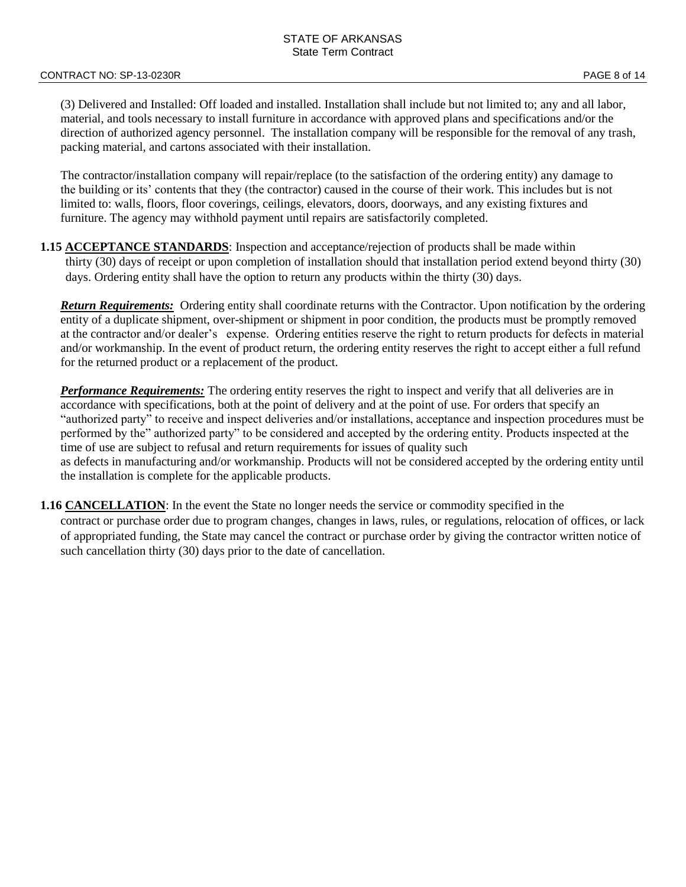(3) Delivered and Installed: Off loaded and installed. Installation shall include but not limited to; any and all labor, material, and tools necessary to install furniture in accordance with approved plans and specifications and/or the direction of authorized agency personnel. The installation company will be responsible for the removal of any trash, packing material, and cartons associated with their installation.

The contractor/installation company will repair/replace (to the satisfaction of the ordering entity) any damage to the building or its' contents that they (the contractor) caused in the course of their work. This includes but is not limited to: walls, floors, floor coverings, ceilings, elevators, doors, doorways, and any existing fixtures and furniture. The agency may withhold payment until repairs are satisfactorily completed.

#### **1.15 ACCEPTANCE STANDARDS**: Inspection and acceptance/rejection of products shall be made within thirty (30) days of receipt or upon completion of installation should that installation period extend beyond thirty (30) days. Ordering entity shall have the option to return any products within the thirty (30) days.

*Return Requirements:* Ordering entity shall coordinate returns with the Contractor. Upon notification by the ordering entity of a duplicate shipment, over-shipment or shipment in poor condition, the products must be promptly removed at the contractor and/or dealer's expense. Ordering entities reserve the right to return products for defects in material and/or workmanship. In the event of product return, the ordering entity reserves the right to accept either a full refund for the returned product or a replacement of the product.

*Performance Requirements:* The ordering entity reserves the right to inspect and verify that all deliveries are in accordance with specifications, both at the point of delivery and at the point of use. For orders that specify an "authorized party" to receive and inspect deliveries and/or installations, acceptance and inspection procedures must be performed by the" authorized party" to be considered and accepted by the ordering entity. Products inspected at the time of use are subject to refusal and return requirements for issues of quality such as defects in manufacturing and/or workmanship. Products will not be considered accepted by the ordering entity until the installation is complete for the applicable products.

**1.16 CANCELLATION**: In the event the State no longer needs the service or commodity specified in the contract or purchase order due to program changes, changes in laws, rules, or regulations, relocation of offices, or lack of appropriated funding, the State may cancel the contract or purchase order by giving the contractor written notice of such cancellation thirty (30) days prior to the date of cancellation.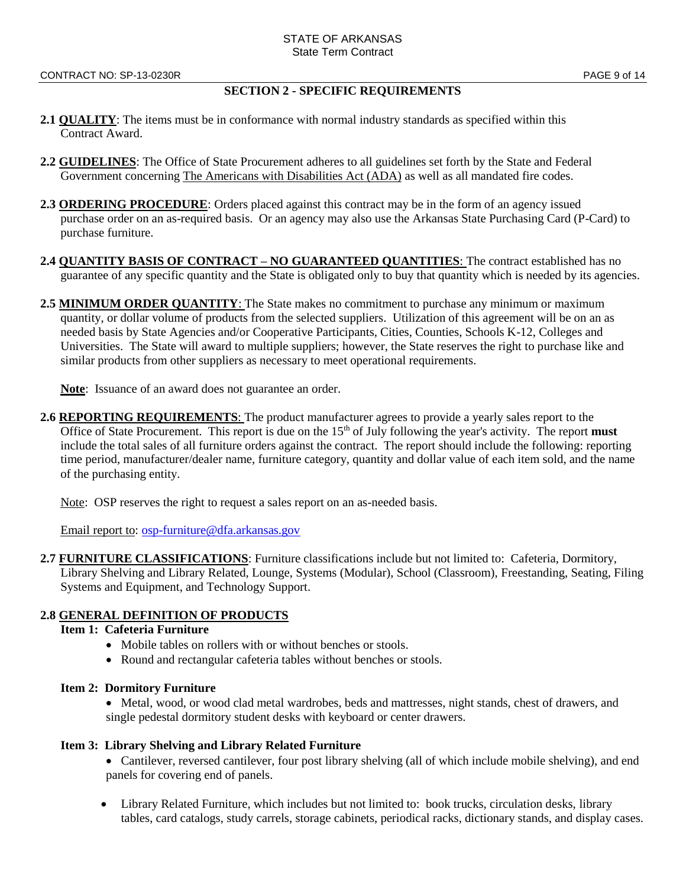#### **SECTION 2 - SPECIFIC REQUIREMENTS**

- **2.1 QUALITY**: The items must be in conformance with normal industry standards as specified within this Contract Award.
- **2.2 GUIDELINES**: The Office of State Procurement adheres to all guidelines set forth by the State and Federal Government concerning The Americans with Disabilities Act (ADA) as well as all mandated fire codes.
- **2.3 ORDERING PROCEDURE:** Orders placed against this contract may be in the form of an agency issued purchase order on an as-required basis. Or an agency may also use the Arkansas State Purchasing Card (P-Card) to purchase furniture.
- **2.4 QUANTITY BASIS OF CONTRACT – NO GUARANTEED QUANTITIES**: The contract established has no guarantee of any specific quantity and the State is obligated only to buy that quantity which is needed by its agencies.
- **2.5 MINIMUM ORDER QUANTITY**: The State makes no commitment to purchase any minimum or maximum quantity, or dollar volume of products from the selected suppliers. Utilization of this agreement will be on an as needed basis by State Agencies and/or Cooperative Participants, Cities, Counties, Schools K-12, Colleges and Universities. The State will award to multiple suppliers; however, the State reserves the right to purchase like and similar products from other suppliers as necessary to meet operational requirements.

**Note**: Issuance of an award does not guarantee an order.

**2.6 REPORTING REQUIREMENTS**: The product manufacturer agrees to provide a yearly sales report to the Office of State Procurement. This report is due on the  $15<sup>th</sup>$  of July following the year's activity. The report **must** include the total sales of all furniture orders against the contract. The report should include the following: reporting time period, manufacturer/dealer name, furniture category, quantity and dollar value of each item sold, and the name of the purchasing entity.

Note: OSP reserves the right to request a sales report on an as-needed basis.

Email report to: [osp-furniture@dfa.arkansas.gov](mailto:osp-furniture@dfa.arkansas.gov)

**2.7 FURNITURE CLASSIFICATIONS**: Furniture classifications include but not limited to: Cafeteria, Dormitory, Library Shelving and Library Related, Lounge, Systems (Modular), School (Classroom), Freestanding, Seating, Filing Systems and Equipment, and Technology Support.

## **2.8 GENERAL DEFINITION OF PRODUCTS**

#### **Item 1: Cafeteria Furniture**

- Mobile tables on rollers with or without benches or stools.
- Round and rectangular cafeteria tables without benches or stools.

#### **Item 2: Dormitory Furniture**

• Metal, wood, or wood clad metal wardrobes, beds and mattresses, night stands, chest of drawers, and single pedestal dormitory student desks with keyboard or center drawers.

#### **Item 3: Library Shelving and Library Related Furniture**

- Cantilever, reversed cantilever, four post library shelving (all of which include mobile shelving), and end panels for covering end of panels.
- Library Related Furniture, which includes but not limited to: book trucks, circulation desks, library tables, card catalogs, study carrels, storage cabinets, periodical racks, dictionary stands, and display cases.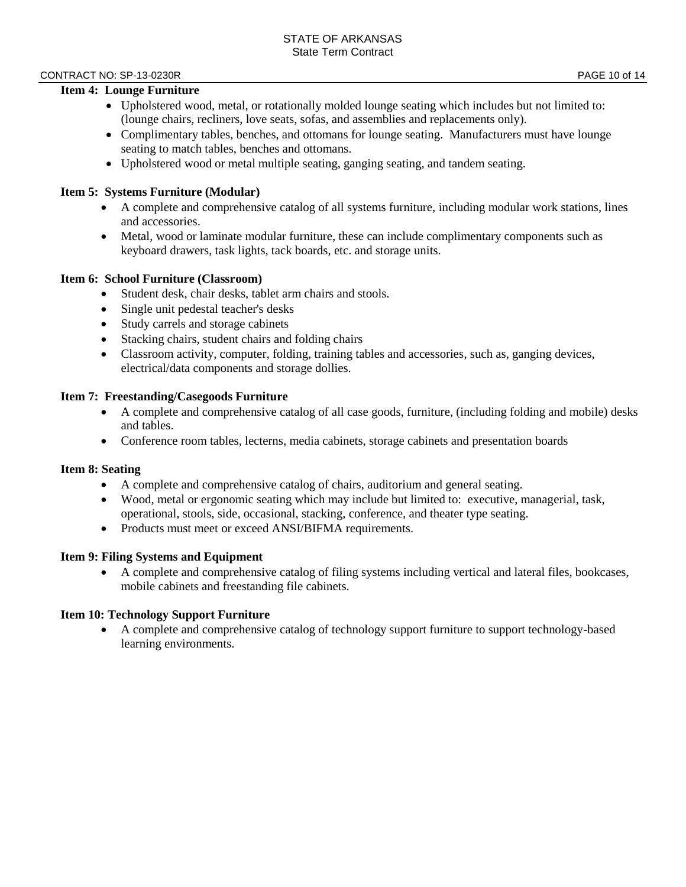#### CONTRACT NO: SP-13-0230R **PAGE 10 of 14**

#### **Item 4: Lounge Furniture**

- Upholstered wood, metal, or rotationally molded lounge seating which includes but not limited to: (lounge chairs, recliners, love seats, sofas, and assemblies and replacements only).
- Complimentary tables, benches, and ottomans for lounge seating. Manufacturers must have lounge seating to match tables, benches and ottomans.
- Upholstered wood or metal multiple seating, ganging seating, and tandem seating.

#### **Item 5: Systems Furniture (Modular)**

- A complete and comprehensive catalog of all systems furniture, including modular work stations, lines and accessories.
- Metal, wood or laminate modular furniture, these can include complimentary components such as keyboard drawers, task lights, tack boards, etc. and storage units.

#### **Item 6: School Furniture (Classroom)**

- Student desk, chair desks, tablet arm chairs and stools.
- Single unit pedestal teacher's desks
- Study carrels and storage cabinets
- Stacking chairs, student chairs and folding chairs
- Classroom activity, computer, folding, training tables and accessories, such as, ganging devices, electrical/data components and storage dollies.

#### **Item 7: Freestanding/Casegoods Furniture**

- A complete and comprehensive catalog of all case goods, furniture, (including folding and mobile) desks and tables.
- Conference room tables, lecterns, media cabinets, storage cabinets and presentation boards

#### **Item 8: Seating**

- A complete and comprehensive catalog of chairs, auditorium and general seating.
- Wood, metal or ergonomic seating which may include but limited to: executive, managerial, task, operational, stools, side, occasional, stacking, conference, and theater type seating.
- Products must meet or exceed ANSI/BIFMA requirements.

#### **Item 9: Filing Systems and Equipment**

• A complete and comprehensive catalog of filing systems including vertical and lateral files, bookcases, mobile cabinets and freestanding file cabinets.

#### **Item 10: Technology Support Furniture**

• A complete and comprehensive catalog of technology support furniture to support technology-based learning environments.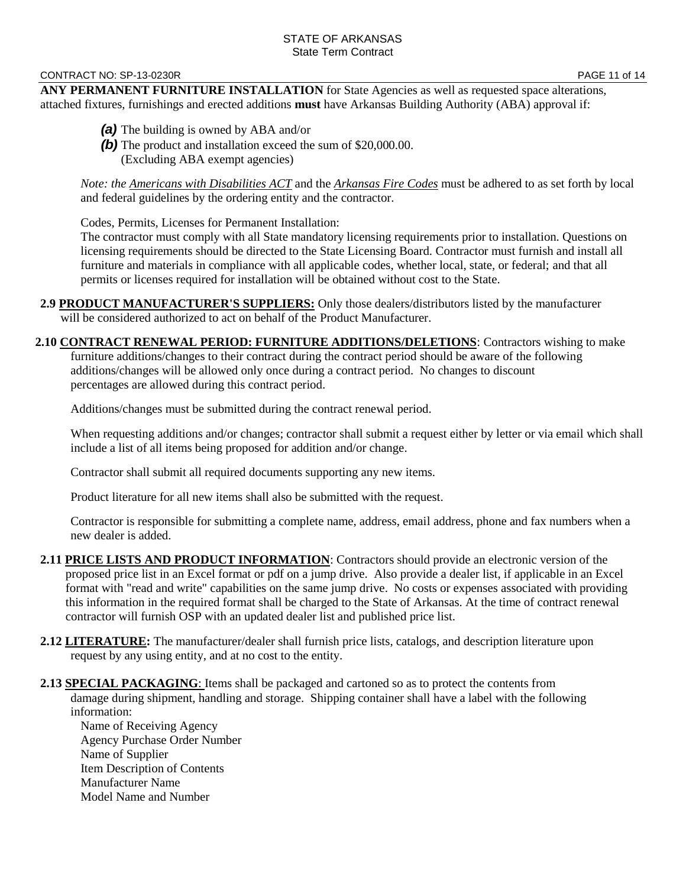#### CONTRACT NO: SP-13-0230R **PAGE 11 of 14**

**ANY PERMANENT FURNITURE INSTALLATION** for State Agencies as well as requested space alterations, attached fixtures, furnishings and erected additions **must** have Arkansas Building Authority (ABA) approval if:

- *(a)* The building is owned by ABA and/or
- **(b)** The product and installation exceed the sum of \$20,000.00. (Excluding ABA exempt agencies)

*Note: the Americans with Disabilities ACT* and the *Arkansas Fire Codes* must be adhered to as set forth by local and federal guidelines by the ordering entity and the contractor.

Codes, Permits, Licenses for Permanent Installation:

The contractor must comply with all State mandatory licensing requirements prior to installation. Questions on licensing requirements should be directed to the State Licensing Board. Contractor must furnish and install all furniture and materials in compliance with all applicable codes, whether local, state, or federal; and that all permits or licenses required for installation will be obtained without cost to the State.

**2.9 PRODUCT MANUFACTURER'S SUPPLIERS:** Only those dealers/distributors listed by the manufacturer will be considered authorized to act on behalf of the Product Manufacturer.

**2.10 CONTRACT RENEWAL PERIOD: FURNITURE ADDITIONS/DELETIONS**: Contractors wishing to make furniture additions/changes to their contract during the contract period should be aware of the following additions/changes will be allowed only once during a contract period. No changes to discount percentages are allowed during this contract period.

Additions/changes must be submitted during the contract renewal period.

When requesting additions and/or changes; contractor shall submit a request either by letter or via email which shall include a list of all items being proposed for addition and/or change.

Contractor shall submit all required documents supporting any new items.

Product literature for all new items shall also be submitted with the request.

Contractor is responsible for submitting a complete name, address, email address, phone and fax numbers when a new dealer is added.

- 2.11 PRICE LISTS AND PRODUCT INFORMATION: Contractors should provide an electronic version of the proposed price list in an Excel format or pdf on a jump drive. Also provide a dealer list, if applicable in an Excel format with "read and write" capabilities on the same jump drive. No costs or expenses associated with providing this information in the required format shall be charged to the State of Arkansas. At the time of contract renewal contractor will furnish OSP with an updated dealer list and published price list.
- **2.12 LITERATURE:** The manufacturer/dealer shall furnish price lists, catalogs, and description literature upon request by any using entity, and at no cost to the entity.
- **2.13 SPECIAL PACKAGING**: Items shall be packaged and cartoned so as to protect the contents from damage during shipment, handling and storage. Shipping container shall have a label with the following information:

Name of Receiving Agency Agency Purchase Order Number Name of Supplier Item Description of Contents Manufacturer Name Model Name and Number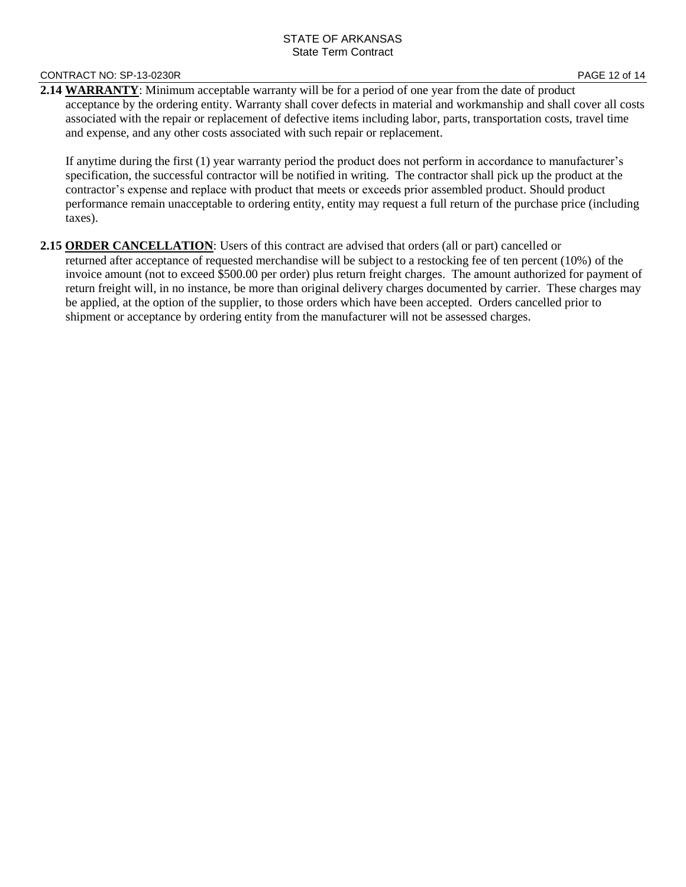#### CONTRACT NO: SP-13-0230R **PAGE 12 of 14**

**2.14 WARRANTY**: Minimum acceptable warranty will be for a period of one year from the date of product acceptance by the ordering entity. Warranty shall cover defects in material and workmanship and shall cover all costs associated with the repair or replacement of defective items including labor, parts, transportation costs, travel time and expense, and any other costs associated with such repair or replacement.

If anytime during the first (1) year warranty period the product does not perform in accordance to manufacturer's specification, the successful contractor will be notified in writing. The contractor shall pick up the product at the contractor's expense and replace with product that meets or exceeds prior assembled product. Should product performance remain unacceptable to ordering entity, entity may request a full return of the purchase price (including taxes).

2.15 ORDER CANCELLATION: Users of this contract are advised that orders (all or part) cancelled or returned after acceptance of requested merchandise will be subject to a restocking fee of ten percent (10%) of the invoice amount (not to exceed \$500.00 per order) plus return freight charges. The amount authorized for payment of return freight will, in no instance, be more than original delivery charges documented by carrier. These charges may be applied, at the option of the supplier, to those orders which have been accepted. Orders cancelled prior to shipment or acceptance by ordering entity from the manufacturer will not be assessed charges.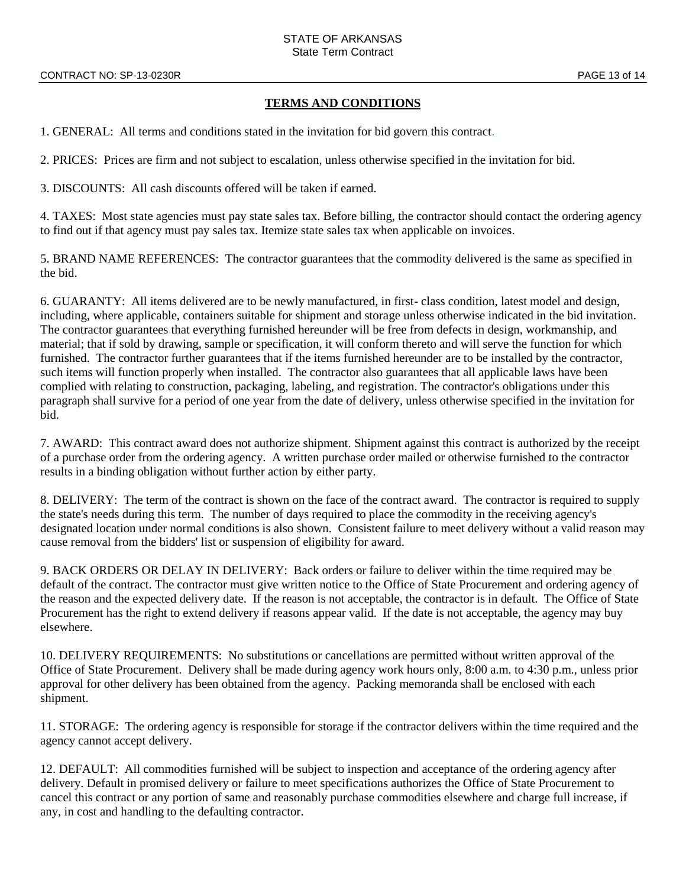#### **TERMS AND CONDITIONS**

1. GENERAL: All terms and conditions stated in the invitation for bid govern this contract.

2. PRICES: Prices are firm and not subject to escalation, unless otherwise specified in the invitation for bid.

3. DISCOUNTS: All cash discounts offered will be taken if earned.

4. TAXES: Most state agencies must pay state sales tax. Before billing, the contractor should contact the ordering agency to find out if that agency must pay sales tax. Itemize state sales tax when applicable on invoices.

5. BRAND NAME REFERENCES: The contractor guarantees that the commodity delivered is the same as specified in the bid.

6. GUARANTY: All items delivered are to be newly manufactured, in first- class condition, latest model and design, including, where applicable, containers suitable for shipment and storage unless otherwise indicated in the bid invitation. The contractor guarantees that everything furnished hereunder will be free from defects in design, workmanship, and material; that if sold by drawing, sample or specification, it will conform thereto and will serve the function for which furnished. The contractor further guarantees that if the items furnished hereunder are to be installed by the contractor, such items will function properly when installed. The contractor also guarantees that all applicable laws have been complied with relating to construction, packaging, labeling, and registration. The contractor's obligations under this paragraph shall survive for a period of one year from the date of delivery, unless otherwise specified in the invitation for bid.

7. AWARD: This contract award does not authorize shipment. Shipment against this contract is authorized by the receipt of a purchase order from the ordering agency. A written purchase order mailed or otherwise furnished to the contractor results in a binding obligation without further action by either party.

8. DELIVERY: The term of the contract is shown on the face of the contract award. The contractor is required to supply the state's needs during this term. The number of days required to place the commodity in the receiving agency's designated location under normal conditions is also shown. Consistent failure to meet delivery without a valid reason may cause removal from the bidders' list or suspension of eligibility for award.

9. BACK ORDERS OR DELAY IN DELIVERY: Back orders or failure to deliver within the time required may be default of the contract. The contractor must give written notice to the Office of State Procurement and ordering agency of the reason and the expected delivery date. If the reason is not acceptable, the contractor is in default. The Office of State Procurement has the right to extend delivery if reasons appear valid. If the date is not acceptable, the agency may buy elsewhere.

10. DELIVERY REQUIREMENTS: No substitutions or cancellations are permitted without written approval of the Office of State Procurement. Delivery shall be made during agency work hours only, 8:00 a.m. to 4:30 p.m., unless prior approval for other delivery has been obtained from the agency. Packing memoranda shall be enclosed with each shipment.

11. STORAGE: The ordering agency is responsible for storage if the contractor delivers within the time required and the agency cannot accept delivery.

12. DEFAULT: All commodities furnished will be subject to inspection and acceptance of the ordering agency after delivery. Default in promised delivery or failure to meet specifications authorizes the Office of State Procurement to cancel this contract or any portion of same and reasonably purchase commodities elsewhere and charge full increase, if any, in cost and handling to the defaulting contractor.